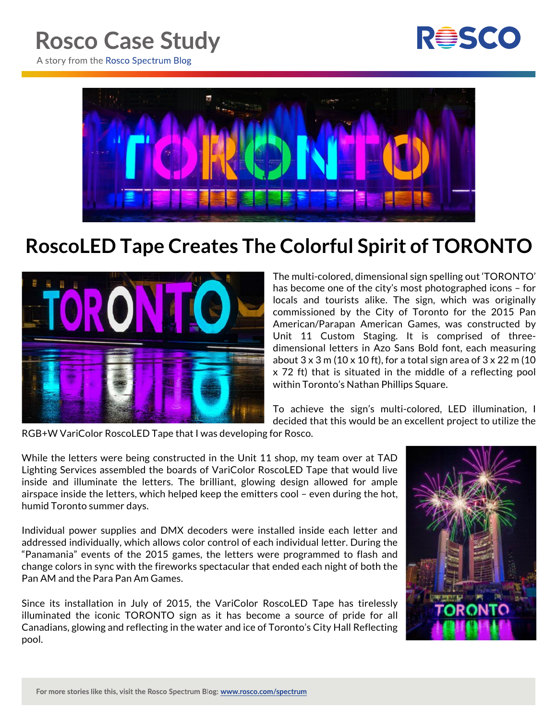

A story from the Rosco Spectrum Blog



## **RoscoLED Tape Creates The Colorful Spirit of TORONTO**



The multi-colored, dimensional sign spelling out 'TORONTO' has become one of the city's most photographed icons – for locals and tourists alike. The sign, which was originally commissioned by the City of Toronto for the 2015 Pan American/Parapan American Games, was constructed by Unit 11 Custom Staging. It is comprised of threedimensional letters in Azo Sans Bold font, each measuring about  $3 \times 3$  m (10  $\times$  10 ft), for a total sign area of  $3 \times 22$  m (10 x 72 ft) that is situated in the middle of a reflecting pool within Toronto's Nathan Phillips Square.

To achieve the sign's multi-colored, LED illumination, I decided that this would be an excellent project to utilize the

RGB+W VariColor RoscoLED Tape that I was developing for Rosco.

While the letters were being constructed in the Unit 11 shop, my team over at TAD Lighting Services assembled the boards of VariColor RoscoLED Tape that would live inside and illuminate the letters. The brilliant, glowing design allowed for ample airspace inside the letters, which helped keep the emitters cool – even during the hot, humid Toronto summer days.

Individual power supplies and DMX decoders were installed inside each letter and addressed individually, which allows color control of each individual letter. During the "Panamania" events of the 2015 games, the letters were programmed to flash and change colors in sync with the fireworks spectacular that ended each night of both the Pan AM and the Para Pan Am Games.

Since its installation in July of 2015, the VariColor RoscoLED Tape has tirelessly illuminated the iconic TORONTO sign as it has become a source of pride for all Canadians, glowing and reflecting in the water and ice of Toronto's City Hall Reflecting pool.